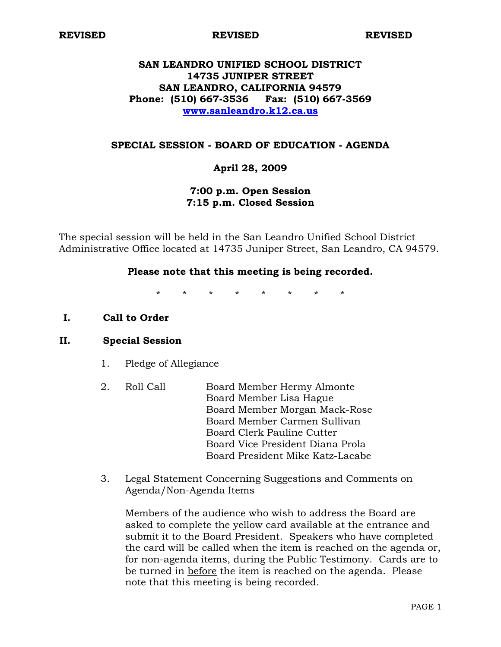**REVISED REVISED REVISED** 

# **SAN LEANDRO UNIFIED SCHOOL DISTRICT 14735 JUNIPER STREET SAN LEANDRO, CALIFORNIA 94579 Phone: (510) 667-3536 Fax: (510) 667-3569 www.sanleandro.k12.ca.us**

### **SPECIAL SESSION - BOARD OF EDUCATION - AGENDA**

## **April 28, 2009**

## **7:00 p.m. Open Session 7:15 p.m. Closed Session**

The special session will be held in the San Leandro Unified School District Administrative Office located at 14735 Juniper Street, San Leandro, CA 94579.

#### **Please note that this meeting is being recorded.**

\* \* \* \* \* \* \* \*

**I. Call to Order** 

#### **II. Special Session**

- 1. Pledge of Allegiance
- 2. Roll Call Board Member Hermy Almonte Board Member Lisa Hague Board Member Morgan Mack-Rose Board Member Carmen Sullivan Board Clerk Pauline Cutter Board Vice President Diana Prola Board President Mike Katz-Lacabe
- 3. Legal Statement Concerning Suggestions and Comments on Agenda/Non-Agenda Items

Members of the audience who wish to address the Board are asked to complete the yellow card available at the entrance and submit it to the Board President. Speakers who have completed the card will be called when the item is reached on the agenda or, for non-agenda items, during the Public Testimony. Cards are to be turned in before the item is reached on the agenda. Please note that this meeting is being recorded.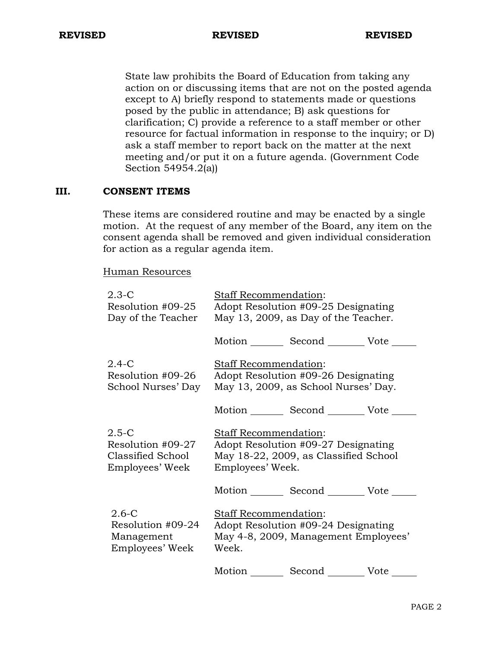State law prohibits the Board of Education from taking any action on or discussing items that are not on the posted agenda except to A) briefly respond to statements made or questions posed by the public in attendance; B) ask questions for clarification; C) provide a reference to a staff member or other resource for factual information in response to the inquiry; or D) ask a staff member to report back on the matter at the next meeting and/or put it on a future agenda. (Government Code Section 54954.2(a))

## **III. CONSENT ITEMS**

These items are considered routine and may be enacted by a single motion. At the request of any member of the Board, any item on the consent agenda shall be removed and given individual consideration for action as a regular agenda item.

Human Resources

| $2.3 - C$<br>Resolution #09-25<br>Day of the Teacher               | Staff Recommendation:                                                                                                     | Adopt Resolution #09-25 Designating<br>May 13, 2009, as Day of the Teacher. |      |  |
|--------------------------------------------------------------------|---------------------------------------------------------------------------------------------------------------------------|-----------------------------------------------------------------------------|------|--|
|                                                                    |                                                                                                                           | Motion _________ Second _________ Vote ______                               |      |  |
| $2.4 - C$<br>Resolution #09-26<br>School Nurses' Day               | Staff Recommendation:<br>Adopt Resolution #09-26 Designating<br>May 13, 2009, as School Nurses' Day.                      |                                                                             |      |  |
|                                                                    |                                                                                                                           | Motion _________ Second _________ Vote ____                                 |      |  |
| 2.5-C<br>Resolution #09-27<br>Classified School<br>Employees' Week | Staff Recommendation:<br>Adopt Resolution #09-27 Designating<br>May 18-22, 2009, as Classified School<br>Employees' Week. |                                                                             |      |  |
|                                                                    |                                                                                                                           | Motion Second Vote                                                          |      |  |
| $2.6-C$<br>Resolution #09-24<br>Management<br>Employees' Week      | Staff Recommendation:<br>Adopt Resolution #09-24 Designating<br>May 4-8, 2009, Management Employees'<br>Week.             |                                                                             |      |  |
|                                                                    | Motion                                                                                                                    | Second                                                                      | Vote |  |